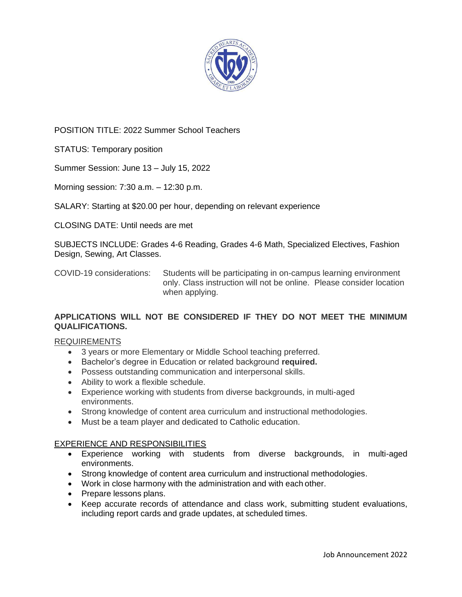

POSITION TITLE: 2022 Summer School Teachers

STATUS: Temporary position

Summer Session: June 13 – July 15, 2022

Morning session: 7:30 a.m. – 12:30 p.m.

SALARY: Starting at \$20.00 per hour, depending on relevant experience

CLOSING DATE: Until needs are met

SUBJECTS INCLUDE: Grades 4-6 Reading, Grades 4-6 Math, Specialized Electives, Fashion Design, Sewing, Art Classes.

COVID-19 considerations: Students will be participating in on-campus learning environment only. Class instruction will not be online. Please consider location when applying.

## **APPLICATIONS WILL NOT BE CONSIDERED IF THEY DO NOT MEET THE MINIMUM QUALIFICATIONS.**

## REQUIREMENTS

- 3 years or more Elementary or Middle School teaching preferred.
- Bachelor's degree in Education or related background **required.**
- Possess outstanding communication and interpersonal skills.
- Ability to work a flexible schedule.
- Experience working with students from diverse backgrounds, in multi-aged environments.
- Strong knowledge of content area curriculum and instructional methodologies.
- Must be a team player and dedicated to Catholic education.

## EXPERIENCE AND RESPONSIBILITIES

- Experience working with students from diverse backgrounds, in multi-aged environments.
- Strong knowledge of content area curriculum and instructional methodologies.
- Work in close harmony with the administration and with each other.
- Prepare lessons plans.
- Keep accurate records of attendance and class work, submitting student evaluations, including report cards and grade updates, at scheduled times.